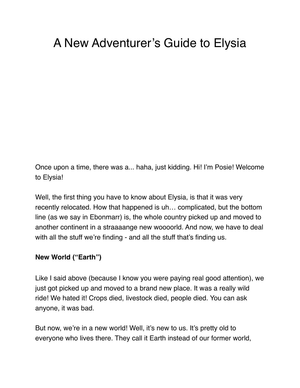# A New Adventurer's Guide to Elysia

Once upon a time, there was a... haha, just kidding. Hi! I'm Posie! Welcome to Elysia!

Well, the first thing you have to know about Elysia, is that it was very recently relocated. How that happened is uh… complicated, but the bottom line (as we say in Ebonmarr) is, the whole country picked up and moved to another continent in a straaaange new woooorld. And now, we have to deal with all the stuff we're finding - and all the stuff that's finding us.

#### **New World ("Earth")**

Like I said above (because I know you were paying real good attention), we just got picked up and moved to a brand new place. It was a really wild ride! We hated it! Crops died, livestock died, people died. You can ask anyone, it was bad.

But now, we're in a new world! Well, it's new to us. It's pretty old to everyone who lives there. They call it Earth instead of our former world,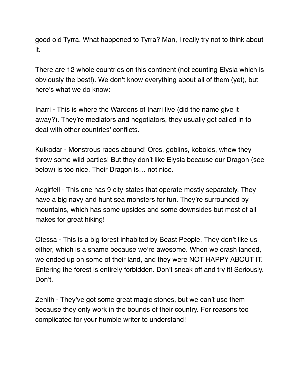good old Tyrra. What happened to Tyrra? Man, I really try not to think about it.

There are 12 whole countries on this continent (not counting Elysia which is obviously the best!). We don't know everything about all of them (yet), but here's what we do know:

Inarri - This is where the Wardens of Inarri live (did the name give it away?). They're mediators and negotiators, they usually get called in to deal with other countries' conflicts.

Kulkodar - Monstrous races abound! Orcs, goblins, kobolds, whew they throw some wild parties! But they don't like Elysia because our Dragon (see below) is too nice. Their Dragon is… not nice.

Aegirfell - This one has 9 city-states that operate mostly separately. They have a big navy and hunt sea monsters for fun. They're surrounded by mountains, which has some upsides and some downsides but most of all makes for great hiking!

Otessa - This is a big forest inhabited by Beast People. They don't like us either, which is a shame because we're awesome. When we crash landed, we ended up on some of their land, and they were NOT HAPPY ABOUT IT. Entering the forest is entirely forbidden. Don't sneak off and try it! Seriously. Don't.

Zenith - They've got some great magic stones, but we can't use them because they only work in the bounds of their country. For reasons too complicated for your humble writer to understand!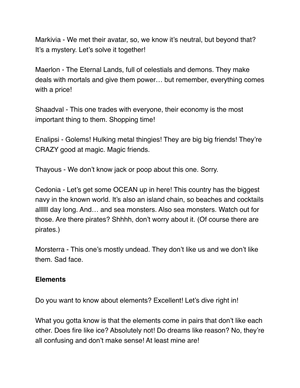Markivia - We met their avatar, so, we know it's neutral, but beyond that? It's a mystery. Let's solve it together!

Maerlon - The Eternal Lands, full of celestials and demons. They make deals with mortals and give them power… but remember, everything comes with a price!

Shaadval - This one trades with everyone, their economy is the most important thing to them. Shopping time!

Enalipsi - Golems! Hulking metal thingies! They are big big friends! They're CRAZY good at magic. Magic friends.

Thayous - We don't know jack or poop about this one. Sorry.

Cedonia - Let's get some OCEAN up in here! This country has the biggest navy in the known world. It's also an island chain, so beaches and cocktails allllll day long. And… and sea monsters. Also sea monsters. Watch out for those. Are there pirates? Shhhh, don't worry about it. (Of course there are pirates.)

Morsterra - This one's mostly undead. They don't like us and we don't like them. Sad face.

#### **Elements**

Do you want to know about elements? Excellent! Let's dive right in!

What you gotta know is that the elements come in pairs that don't like each other. Does fire like ice? Absolutely not! Do dreams like reason? No, they're all confusing and don't make sense! At least mine are!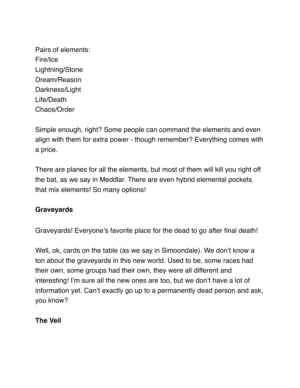Pairs of elements: Fire/Ice Lightning/Stone Dream/Reason Darkness/Light Life/Death Chaos/Order

Simple enough, right? Some people can command the elements and even align with them for extra power - though remember? Everything comes with a price.

There are planes for all the elements, but most of them will kill you right off the bat, as we say in Meddlar. There are even hybrid elemental pockets that mix elements! So many options!

### **Graveyards**

Graveyards! Everyone's favorite place for the dead to go after final death!

Well, ok, cards on the table (as we say in Simoondale). We don't know a ton about the graveyards in this new world. Used to be, some races had their own, some groups had their own, they were all different and interesting! I'm sure all the new ones are too, but we don't have a lot of information yet. Can't exactly go up to a permanently dead person and ask, you know?

**The Veil**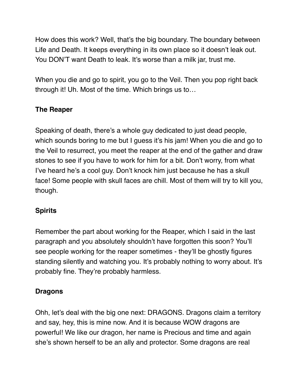How does this work? Well, that's the big boundary. The boundary between Life and Death. It keeps everything in its own place so it doesn't leak out. You DON'T want Death to leak. It's worse than a milk jar, trust me.

When you die and go to spirit, you go to the Veil. Then you pop right back through it! Uh. Most of the time. Which brings us to…

# **The Reaper**

Speaking of death, there's a whole guy dedicated to just dead people, which sounds boring to me but I guess it's his jam! When you die and go to the Veil to resurrect, you meet the reaper at the end of the gather and draw stones to see if you have to work for him for a bit. Don't worry, from what I've heard he's a cool guy. Don't knock him just because he has a skull face! Some people with skull faces are chill. Most of them will try to kill you, though.

# **Spirits**

Remember the part about working for the Reaper, which I said in the last paragraph and you absolutely shouldn't have forgotten this soon? You'll see people working for the reaper sometimes - they'll be ghostly figures standing silently and watching you. It's probably nothing to worry about. It's probably fine. They're probably harmless.

# **Dragons**

Ohh, let's deal with the big one next: DRAGONS. Dragons claim a territory and say, hey, this is mine now. And it is because WOW dragons are powerful! We like our dragon, her name is Precious and time and again she's shown herself to be an ally and protector. Some dragons are real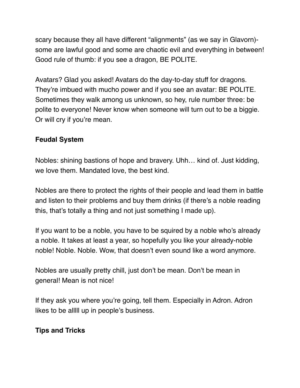scary because they all have different "alignments" (as we say in Glavorn) some are lawful good and some are chaotic evil and everything in between! Good rule of thumb: if you see a dragon, BE POLITE.

Avatars? Glad you asked! Avatars do the day-to-day stuff for dragons. They're imbued with mucho power and if you see an avatar: BE POLITE. Sometimes they walk among us unknown, so hey, rule number three: be polite to everyone! Never know when someone will turn out to be a biggie. Or will cry if you're mean.

## **Feudal System**

Nobles: shining bastions of hope and bravery. Uhh… kind of. Just kidding, we love them. Mandated love, the best kind.

Nobles are there to protect the rights of their people and lead them in battle and listen to their problems and buy them drinks (if there's a noble reading this, that's totally a thing and not just something I made up).

If you want to be a noble, you have to be squired by a noble who's already a noble. It takes at least a year, so hopefully you like your already-noble noble! Noble. Noble. Wow, that doesn't even sound like a word anymore.

Nobles are usually pretty chill, just don't be mean. Don't be mean in general! Mean is not nice!

If they ask you where you're going, tell them. Especially in Adron. Adron likes to be alllll up in people's business.

# **Tips and Tricks**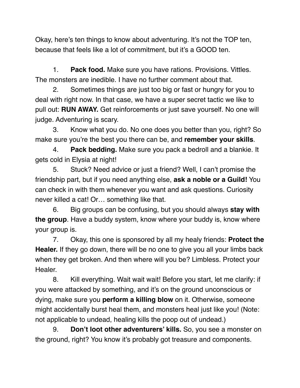Okay, here's ten things to know about adventuring. It's not the TOP ten, because that feels like a lot of commitment, but it's a GOOD ten.

1. **Pack food.** Make sure you have rations. Provisions. Vittles. The monsters are inedible. I have no further comment about that.

2. Sometimes things are just too big or fast or hungry for you to deal with right now. In that case, we have a super secret tactic we like to pull out: **RUN AWAY.** Get reinforcements or just save yourself. No one will judge. Adventuring is scary.

3. Know what you do. No one does you better than you, right? So make sure you're the best you there can be, and **remember your skills**.

4. **Pack bedding.** Make sure you pack a bedroll and a blankie. It gets cold in Elysia at night!

5. Stuck? Need advice or just a friend? Well, I can't promise the friendship part, but if you need anything else, **ask a noble or a Guild!** You can check in with them whenever you want and ask questions. Curiosity never killed a cat! Or… something like that.

6. Big groups can be confusing, but you should always **stay with the group**. Have a buddy system, know where your buddy is, know where your group is.

7. Okay, this one is sponsored by all my healy friends: **Protect the Healer.** If they go down, there will be no one to give you all your limbs back when they get broken. And then where will you be? Limbless. Protect your Healer.

8. Kill everything. Wait wait wait! Before you start, let me clarify: if you were attacked by something, and it's on the ground unconscious or dying, make sure you **perform a killing blow** on it. Otherwise, someone might accidentally burst heal them, and monsters heal just like you! (Note: not applicable to undead, healing kills the poop out of undead.)

9. **Don't loot other adventurers' kills.** So, you see a monster on the ground, right? You know it's probably got treasure and components.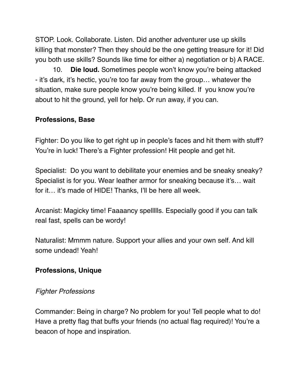STOP. Look. Collaborate. Listen. Did another adventurer use up skills killing that monster? Then they should be the one getting treasure for it! Did you both use skills? Sounds like time for either a) negotiation or b) A RACE.

10. **Die loud.** Sometimes people won't know you're being attacked - it's dark, it's hectic, you're too far away from the group… whatever the situation, make sure people know you're being killed. If you know you're about to hit the ground, yell for help. Or run away, if you can.

# **Professions, Base**

Fighter: Do you like to get right up in people's faces and hit them with stuff? You're in luck! There's a Fighter profession! Hit people and get hit.

Specialist: Do you want to debilitate your enemies and be sneaky sneaky? Specialist is for you. Wear leather armor for sneaking because it's… wait for it… it's made of HIDE! Thanks, I'll be here all week.

Arcanist: Magicky time! Faaaancy spellllls. Especially good if you can talk real fast, spells can be wordy!

Naturalist: Mmmm nature. Support your allies and your own self. And kill some undead! Yeah!

# **Professions, Unique**

### *Fighter Professions*

Commander: Being in charge? No problem for you! Tell people what to do! Have a pretty flag that buffs your friends (no actual flag required)! You're a beacon of hope and inspiration.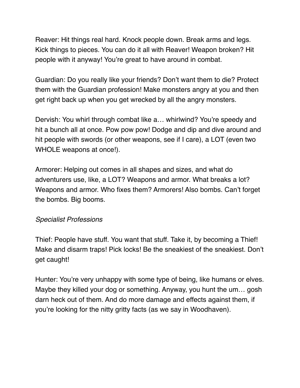Reaver: Hit things real hard. Knock people down. Break arms and legs. Kick things to pieces. You can do it all with Reaver! Weapon broken? Hit people with it anyway! You're great to have around in combat.

Guardian: Do you really like your friends? Don't want them to die? Protect them with the Guardian profession! Make monsters angry at you and then get right back up when you get wrecked by all the angry monsters.

Dervish: You whirl through combat like a… whirlwind? You're speedy and hit a bunch all at once. Pow pow pow! Dodge and dip and dive around and hit people with swords (or other weapons, see if I care), a LOT (even two WHOLE weapons at once!).

Armorer: Helping out comes in all shapes and sizes, and what do adventurers use, like, a LOT? Weapons and armor. What breaks a lot? Weapons and armor. Who fixes them? Armorers! Also bombs. Can't forget the bombs. Big booms.

### *Specialist Professions*

Thief: People have stuff. You want that stuff. Take it, by becoming a Thief! Make and disarm traps! Pick locks! Be the sneakiest of the sneakiest. Don't get caught!

Hunter: You're very unhappy with some type of being, like humans or elves. Maybe they killed your dog or something. Anyway, you hunt the um… gosh darn heck out of them. And do more damage and effects against them, if you're looking for the nitty gritty facts (as we say in Woodhaven).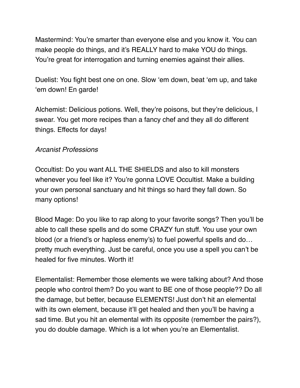Mastermind: You're smarter than everyone else and you know it. You can make people do things, and it's REALLY hard to make YOU do things. You're great for interrogation and turning enemies against their allies.

Duelist: You fight best one on one. Slow 'em down, beat 'em up, and take 'em down! En garde!

Alchemist: Delicious potions. Well, they're poisons, but they're delicious, I swear. You get more recipes than a fancy chef and they all do different things. Effects for days!

#### *Arcanist Professions*

Occultist: Do you want ALL THE SHIELDS and also to kill monsters whenever you feel like it? You're gonna LOVE Occultist. Make a building your own personal sanctuary and hit things so hard they fall down. So many options!

Blood Mage: Do you like to rap along to your favorite songs? Then you'll be able to call these spells and do some CRAZY fun stuff. You use your own blood (or a friend's or hapless enemy's) to fuel powerful spells and do… pretty much everything. Just be careful, once you use a spell you can't be healed for five minutes. Worth it!

Elementalist: Remember those elements we were talking about? And those people who control them? Do you want to BE one of those people?? Do all the damage, but better, because ELEMENTS! Just don't hit an elemental with its own element, because it'll get healed and then you'll be having a sad time. But you hit an elemental with its opposite (remember the pairs?), you do double damage. Which is a lot when you're an Elementalist.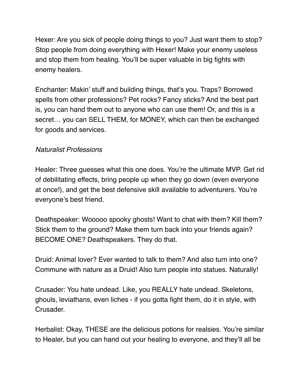Hexer: Are you sick of people doing things to you? Just want them to stop? Stop people from doing everything with Hexer! Make your enemy useless and stop them from healing. You'll be super valuable in big fights with enemy healers.

Enchanter: Makin' stuff and building things, that's you. Traps? Borrowed spells from other professions? Pet rocks? Fancy sticks? And the best part is, you can hand them out to anyone who can use them! Or, and this is a secret… you can SELL THEM, for MONEY, which can then be exchanged for goods and services.

### *Naturalist Professions*

Healer: Three guesses what this one does. You're the ultimate MVP. Get rid of debilitating effects, bring people up when they go down (even everyone at once!), and get the best defensive skill available to adventurers. You're everyone's best friend.

Deathspeaker: Wooooo spooky ghosts! Want to chat with them? Kill them? Stick them to the ground? Make them turn back into your friends again? BECOME ONE? Deathspeakers. They do that.

Druid: Animal lover? Ever wanted to talk to them? And also turn into one? Commune with nature as a Druid! Also turn people into statues. Naturally!

Crusader: You hate undead. Like, you REALLY hate undead. Skeletons, ghouls, leviathans, even liches - if you gotta fight them, do it in style, with Crusader.

Herbalist: Okay, THESE are the delicious potions for realsies. You're similar to Healer, but you can hand out your healing to everyone, and they'll all be